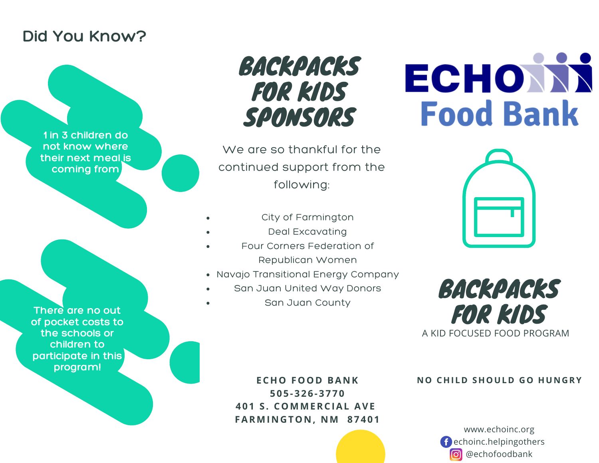#### **Did You Know?**

**1 in 3 children do not know where their next meal is coming from**

BACKPACKS FOR KIDS SPONSORS

We are so thankful for the continued support from the following:

- City of Farmington
- Deal Excavating
- Four Corners Federation of Republican Women
- Navajo Transitional Energy Company
- San Juan United Way Donors
- San Juan County

# ECHONN **Food Bank**





**N O CHI L D SHOUL D GO HU N G RY**

www.echoinc.org echoinc.helpingothers **o** @echofoodbank

**There are no out of pocket costs to the schools or children to participate in this program!**

> **ECHO FOOD BA N K 5 0 5 - 3 2 6 - 3 7 7 0 4 0 1 S . COMMERCIAL AVE FARMI N G TO N , NM 8 7 4 0 1**